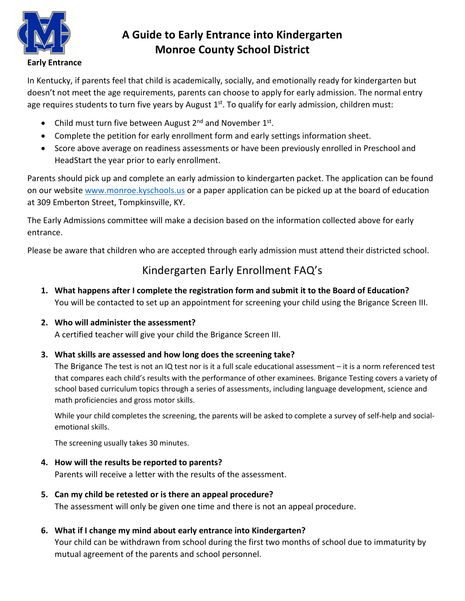

# **A Guide to Early Entrance into Kindergarten Monroe County School District**

In Kentucky, if parents feel that child is academically, socially, and emotionally ready for kindergarten but doesn't not meet the age requirements, parents can choose to apply for early admission. The normal entry age requires students to turn five years by August  $1<sup>st</sup>$ . To qualify for early admission, children must:

- Child must turn five between August  $2^{nd}$  and November  $1^{st}$ .
- Complete the petition for early enrollment form and early settings information sheet.
- Score above average on readiness assessments or have been previously enrolled in Preschool and HeadStart the year prior to early enrollment.

Parents should pick up and complete an early admission to kindergarten packet. The application can be found on our website [www.monroe.kyschools.us](http://www.monroe.kyschools.us/) or a paper application can be picked up at the board of education at 309 Emberton Street, Tompkinsville, KY.

The Early Admissions committee will make a decision based on the information collected above for early entrance.

Please be aware that children who are accepted through early admission must attend their districted school.

# Kindergarten Early Enrollment FAQ's

**1. What happens after I complete the registration form and submit it to the Board of Education?**  You will be contacted to set up an appointment for screening your child using the Brigance Screen III.

## **2. Who will administer the assessment?**

A certified teacher will give your child the Brigance Screen III.

## **3. What skills are assessed and how long does the screening take?**

The Brigance The test is not an [IQ test](http://www.merriam-webster.com/dictionary/intelligence%20test) nor is it a full scale educational assessment – it is a [norm referenced](http://learningdisabilities.about.com/od/mo/g/normreferenced.htm) test that compares each child's results with the performance of other examinees. Brigance Testing covers a variety of school based curriculum topics through a series of assessments, including language development, science and math proficiencies and [gross motor skills.](http://www.healthline.com/galecontent/gross-motor-skills-1#1)

While your child completes the screening, the parents will be asked to complete a survey of self-help and socialemotional skills.

The screening usually takes 30 minutes.

#### **4. How will the results be reported to parents?**

Parents will receive a letter with the results of the assessment.

#### **5. Can my child be retested or is there an appeal procedure?**

The assessment will only be given one time and there is not an appeal procedure.

## **6. What if I change my mind about early entrance into Kindergarten?**

Your child can be withdrawn from school during the first two months of school due to immaturity by mutual agreement of the parents and school personnel.